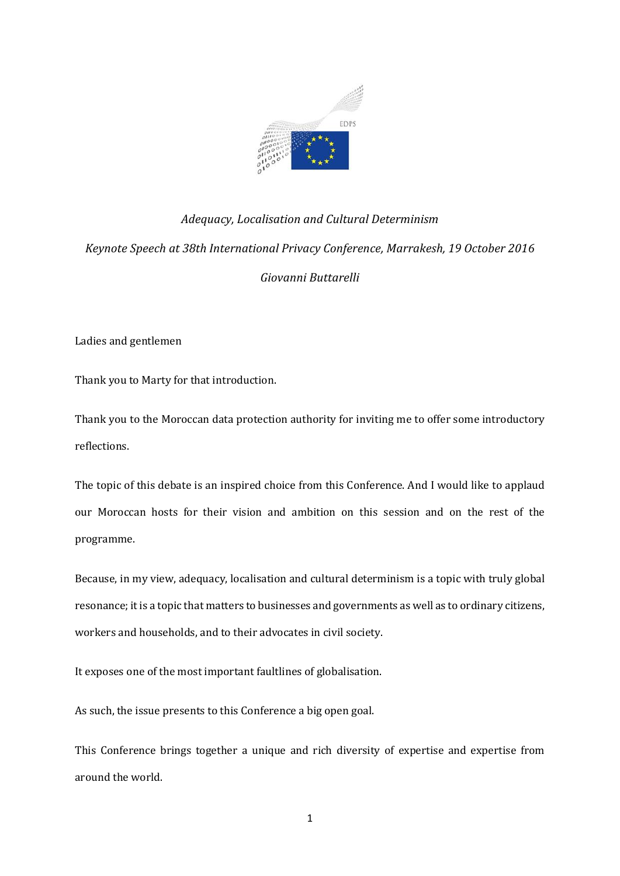

# *Adequacy, Localisation and Cultural Determinism Keynote Speech at 38th International Privacy Conference, Marrakesh, 19 October 2016 Giovanni Buttarelli*

Ladies and gentlemen

Thank you to Marty for that introduction.

Thank you to the Moroccan data protection authority for inviting me to offer some introductory reflections.

The topic of this debate is an inspired choice from this Conference. And I would like to applaud our Moroccan hosts for their vision and ambition on this session and on the rest of the programme.

Because, in my view, adequacy, localisation and cultural determinism is a topic with truly global resonance; it is a topic that matters to businesses and governments as well as to ordinary citizens, workers and households, and to their advocates in civil society.

It exposes one of the most important faultlines of globalisation.

As such, the issue presents to this Conference a big open goal.

This Conference brings together a unique and rich diversity of expertise and expertise from around the world.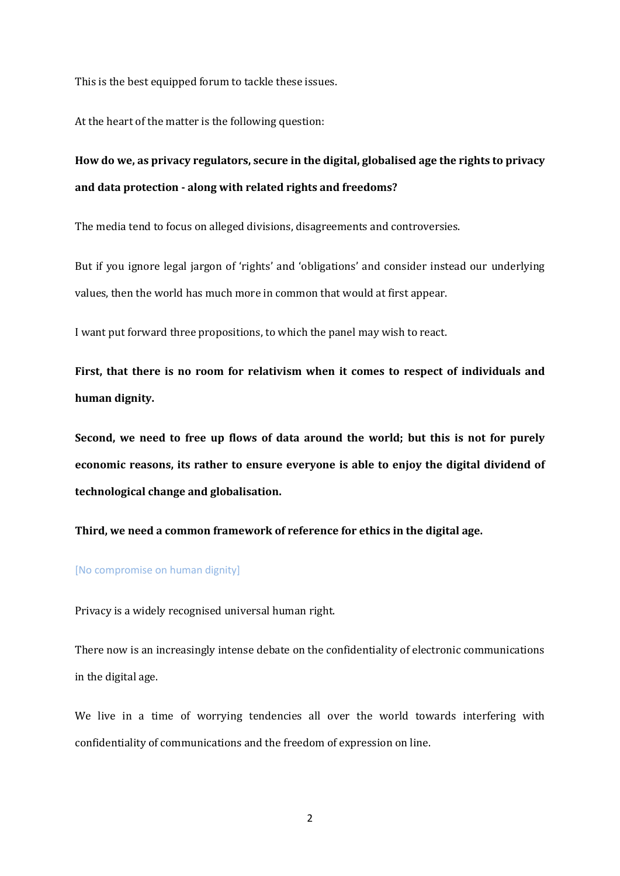This is the best equipped forum to tackle these issues.

At the heart of the matter is the following question:

## **How do we, as privacy regulators, secure in the digital, globalised age the rights to privacy and data protection - along with related rights and freedoms?**

The media tend to focus on alleged divisions, disagreements and controversies.

But if you ignore legal jargon of 'rights' and 'obligations' and consider instead our underlying values, then the world has much more in common that would at first appear.

I want put forward three propositions, to which the panel may wish to react.

**First, that there is no room for relativism when it comes to respect of individuals and human dignity.**

**Second, we need to free up flows of data around the world; but this is not for purely economic reasons, its rather to ensure everyone is able to enjoy the digital dividend of technological change and globalisation.**

**Third, we need a common framework of reference for ethics in the digital age.**

### [No compromise on human dignity]

Privacy is a widely recognised universal human right.

There now is an increasingly intense debate on the confidentiality of electronic communications in the digital age.

We live in a time of worrying tendencies all over the world towards interfering with confidentiality of communications and the freedom of expression on line.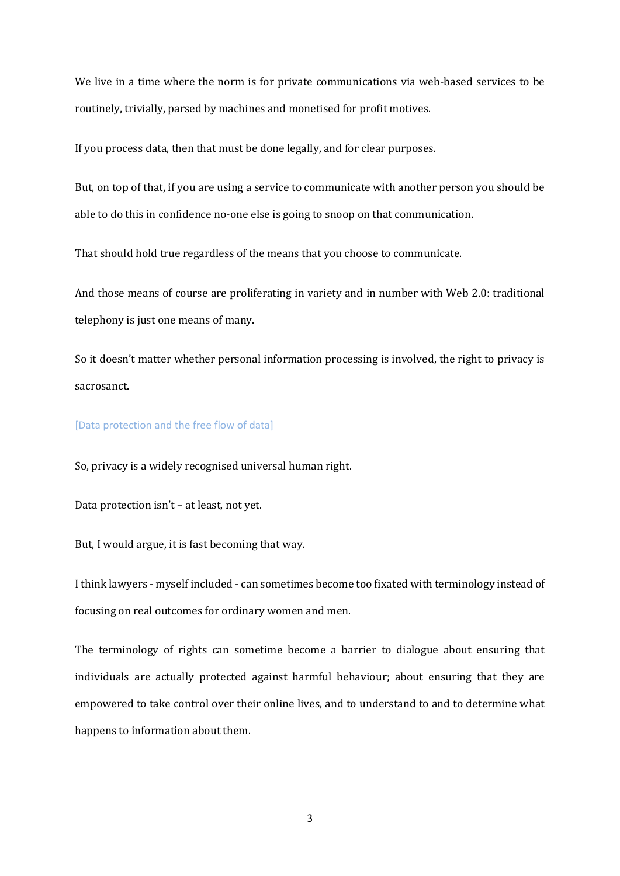We live in a time where the norm is for private communications via web-based services to be routinely, trivially, parsed by machines and monetised for profit motives.

If you process data, then that must be done legally, and for clear purposes.

But, on top of that, if you are using a service to communicate with another person you should be able to do this in confidence no-one else is going to snoop on that communication.

That should hold true regardless of the means that you choose to communicate.

And those means of course are proliferating in variety and in number with Web 2.0: traditional telephony is just one means of many.

So it doesn't matter whether personal information processing is involved, the right to privacy is sacrosanct.

#### [Data protection and the free flow of data]

So, privacy is a widely recognised universal human right.

Data protection isn't – at least, not yet.

But, I would argue, it is fast becoming that way.

I think lawyers - myself included - can sometimes become too fixated with terminology instead of focusing on real outcomes for ordinary women and men.

The terminology of rights can sometime become a barrier to dialogue about ensuring that individuals are actually protected against harmful behaviour; about ensuring that they are empowered to take control over their online lives, and to understand to and to determine what happens to information about them.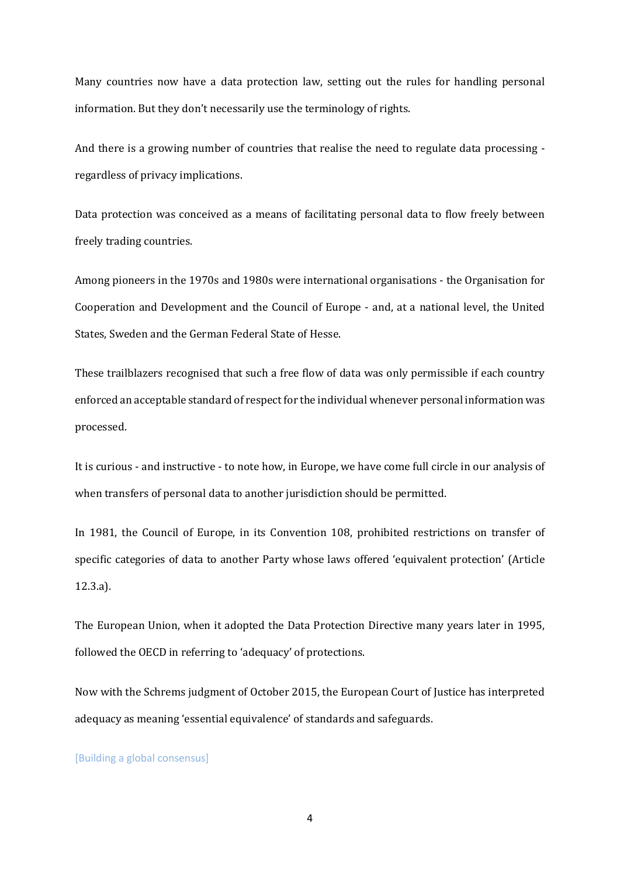Many countries now have a data protection law, setting out the rules for handling personal information. But they don't necessarily use the terminology of rights.

And there is a growing number of countries that realise the need to regulate data processing regardless of privacy implications.

Data protection was conceived as a means of facilitating personal data to flow freely between freely trading countries.

Among pioneers in the 1970s and 1980s were international organisations - the Organisation for Cooperation and Development and the Council of Europe - and, at a national level, the United States, Sweden and the German Federal State of Hesse.

These trailblazers recognised that such a free flow of data was only permissible if each country enforced an acceptable standard of respect for the individual whenever personal information was processed.

It is curious - and instructive - to note how, in Europe, we have come full circle in our analysis of when transfers of personal data to another jurisdiction should be permitted.

In 1981, the Council of Europe, in its Convention 108, prohibited restrictions on transfer of specific categories of data to another Party whose laws offered 'equivalent protection' (Article 12.3.a).

The European Union, when it adopted the Data Protection Directive many years later in 1995, followed the OECD in referring to 'adequacy' of protections.

Now with the Schrems judgment of October 2015, the European Court of Justice has interpreted adequacy as meaning 'essential equivalence' of standards and safeguards.

[Building a global consensus]

4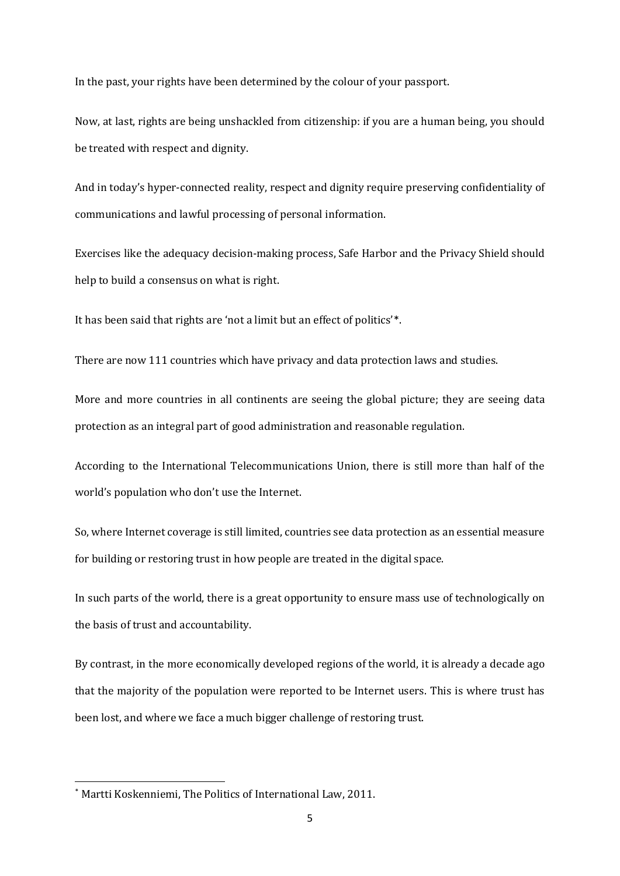In the past, your rights have been determined by the colour of your passport.

Now, at last, rights are being unshackled from citizenship: if you are a human being, you should be treated with respect and dignity.

And in today's hyper-connected reality, respect and dignity require preserving confidentiality of communications and lawful processing of personal information.

Exercises like the adequacy decision-making process, Safe Harbor and the Privacy Shield should help to build a consensus on what is right.

It has been said that rights are 'not a limit but an effect of politics'\*.

There are now 111 countries which have privacy and data protection laws and studies.

More and more countries in all continents are seeing the global picture; they are seeing data protection as an integral part of good administration and reasonable regulation.

According to the International Telecommunications Union, there is still more than half of the world's population who don't use the Internet.

So, where Internet coverage is still limited, countries see data protection as an essential measure for building or restoring trust in how people are treated in the digital space.

In such parts of the world, there is a great opportunity to ensure mass use of technologically on the basis of trust and accountability.

By contrast, in the more economically developed regions of the world, it is already a decade ago that the majority of the population were reported to be Internet users. This is where trust has been lost, and where we face a much bigger challenge of restoring trust.

**.** 

<sup>\*</sup> Martti Koskenniemi, The Politics of International Law, 2011.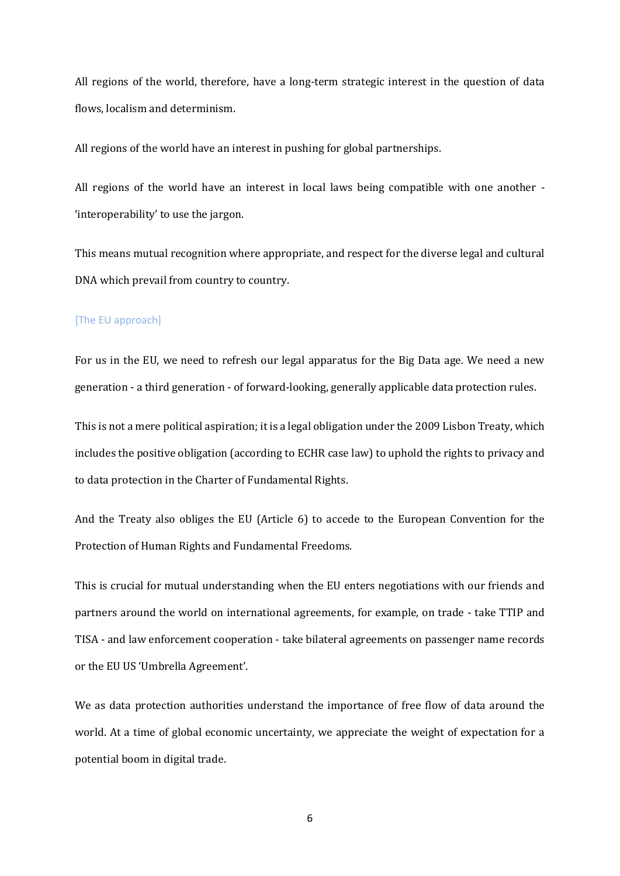All regions of the world, therefore, have a long-term strategic interest in the question of data flows, localism and determinism.

All regions of the world have an interest in pushing for global partnerships.

All regions of the world have an interest in local laws being compatible with one another - 'interoperability' to use the jargon.

This means mutual recognition where appropriate, and respect for the diverse legal and cultural DNA which prevail from country to country.

#### [The EU approach]

For us in the EU, we need to refresh our legal apparatus for the Big Data age. We need a new generation - a third generation - of forward-looking, generally applicable data protection rules.

This is not a mere political aspiration; it is a legal obligation under the 2009 Lisbon Treaty, which includes the positive obligation (according to ECHR case law) to uphold the rights to privacy and to data protection in the Charter of Fundamental Rights.

And the Treaty also obliges the EU (Article 6) to accede to the European Convention for the Protection of Human Rights and Fundamental Freedoms.

This is crucial for mutual understanding when the EU enters negotiations with our friends and partners around the world on international agreements, for example, on trade - take TTIP and TISA - and law enforcement cooperation - take bilateral agreements on passenger name records or the EU US 'Umbrella Agreement'.

We as data protection authorities understand the importance of free flow of data around the world. At a time of global economic uncertainty, we appreciate the weight of expectation for a potential boom in digital trade.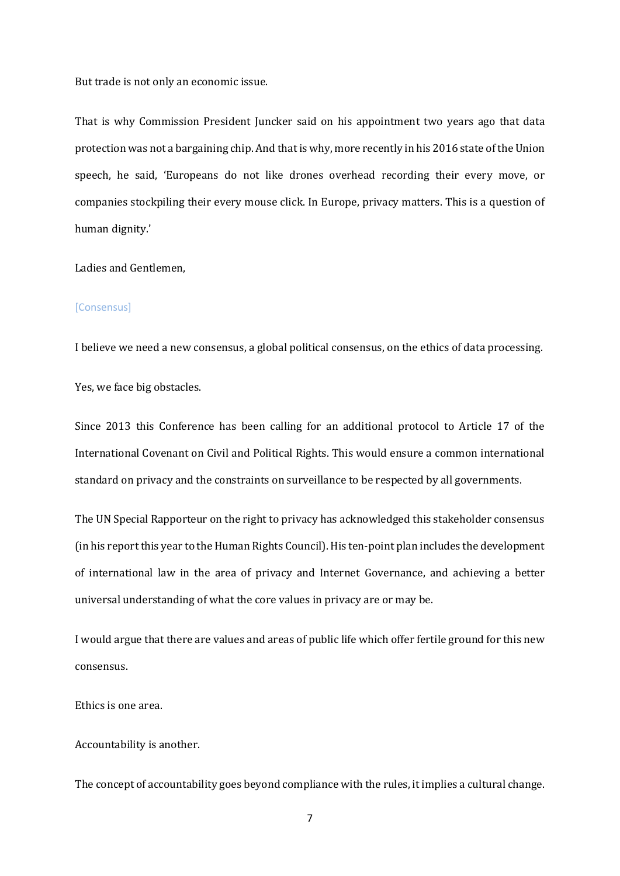But trade is not only an economic issue.

That is why Commission President Juncker said on his appointment two years ago that data protection was not a bargaining chip. And that is why, more recently in his 2016 state of the Union speech, he said, 'Europeans do not like drones overhead recording their every move, or companies stockpiling their every mouse click. In Europe, privacy matters. This is a question of human dignity.'

Ladies and Gentlemen,

#### [Consensus]

I believe we need a new consensus, a global political consensus, on the ethics of data processing.

Yes, we face big obstacles.

Since 2013 this Conference has been calling for an additional protocol to Article 17 of the International Covenant on Civil and Political Rights. This would ensure a common international standard on privacy and the constraints on surveillance to be respected by all governments.

The UN Special Rapporteur on the right to privacy has acknowledged this stakeholder consensus (in his report this year to the Human Rights Council). His ten-point plan includes the development of international law in the area of privacy and Internet Governance, and achieving a better universal understanding of what the core values in privacy are or may be.

I would argue that there are values and areas of public life which offer fertile ground for this new consensus.

Ethics is one area.

Accountability is another.

The concept of accountability goes beyond compliance with the rules, it implies a cultural change.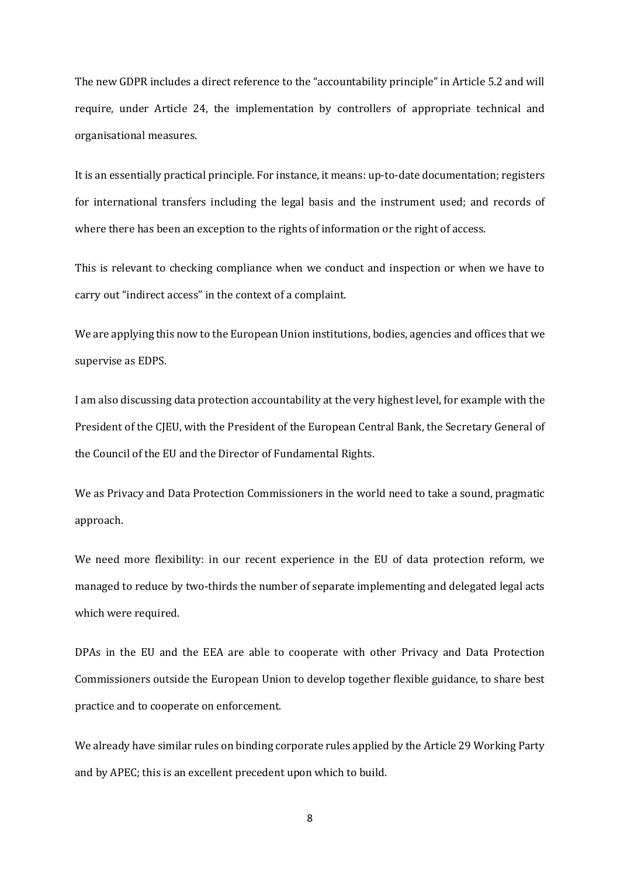The new GDPR includes a direct reference to the "accountability principle" in Article 5.2 and will require, under Article 24, the implementation by controllers of appropriate technical and organisational measures.

It is an essentially practical principle. For instance, it means: up-to-date documentation; registers for international transfers including the legal basis and the instrument used; and records of where there has been an exception to the rights of information or the right of access.

This is relevant to checking compliance when we conduct and inspection or when we have to carry out "indirect access" in the context of a complaint.

We are applying this now to the European Union institutions, bodies, agencies and offices that we supervise as EDPS.

I am also discussing data protection accountability at the very highest level, for example with the President of the CJEU, with the President of the European Central Bank, the Secretary General of the Council of the EU and the Director of Fundamental Rights.

We as Privacy and Data Protection Commissioners in the world need to take a sound, pragmatic approach.

We need more flexibility: in our recent experience in the EU of data protection reform, we managed to reduce by two-thirds the number of separate implementing and delegated legal acts which were required.

DPAs in the EU and the EEA are able to cooperate with other Privacy and Data Protection Commissioners outside the European Union to develop together flexible guidance, to share best practice and to cooperate on enforcement.

We already have similar rules on binding corporate rules applied by the Article 29 Working Party and by APEC; this is an excellent precedent upon which to build.

8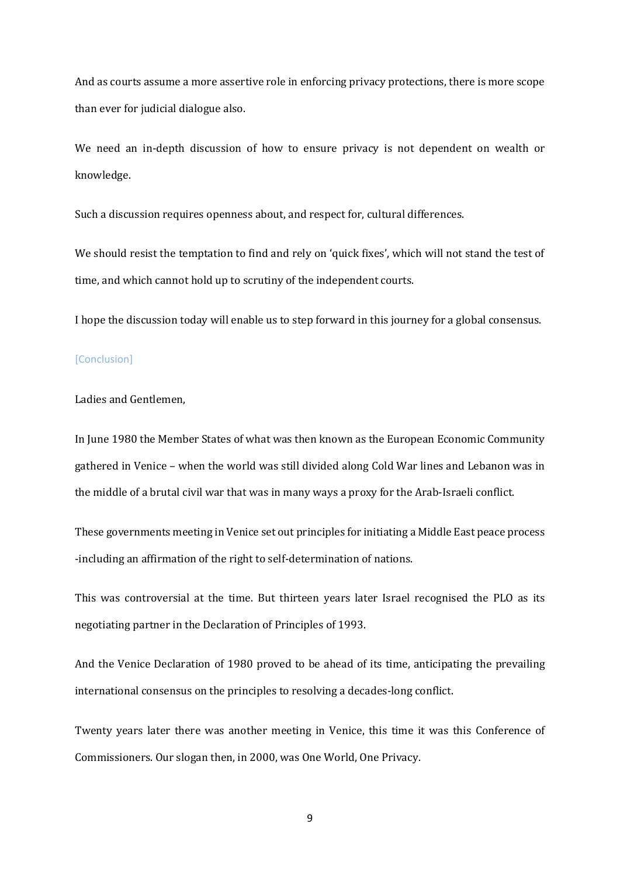And as courts assume a more assertive role in enforcing privacy protections, there is more scope than ever for judicial dialogue also.

We need an in-depth discussion of how to ensure privacy is not dependent on wealth or knowledge.

Such a discussion requires openness about, and respect for, cultural differences.

We should resist the temptation to find and rely on 'quick fixes', which will not stand the test of time, and which cannot hold up to scrutiny of the independent courts.

I hope the discussion today will enable us to step forward in this journey for a global consensus.

### [Conclusion]

#### Ladies and Gentlemen,

In June 1980 the Member States of what was then known as the European Economic Community gathered in Venice – when the world was still divided along Cold War lines and Lebanon was in the middle of a brutal civil war that was in many ways a proxy for the Arab-Israeli conflict.

These governments meeting in Venice set out principles for initiating a Middle East peace process -including an affirmation of the right to self-determination of nations.

This was controversial at the time. But thirteen years later Israel recognised the PLO as its negotiating partner in the Declaration of Principles of 1993.

And the Venice Declaration of 1980 proved to be ahead of its time, anticipating the prevailing international consensus on the principles to resolving a decades-long conflict.

Twenty years later there was another meeting in Venice, this time it was this Conference of Commissioners. Our slogan then, in 2000, was One World, One Privacy.